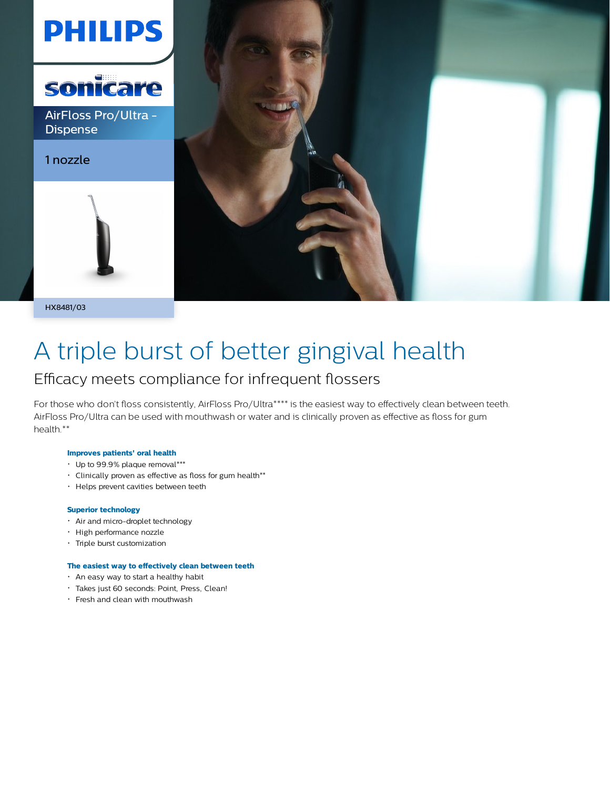

HX8481/03

# A triple burst of better gingival health

### Efficacy meets compliance for infrequent flossers

For those who don't floss consistently, AirFloss Pro/Ultra\*\*\*\* is the easiest way to effectively clean between teeth. AirFloss Pro/Ultra can be used with mouthwash or water and is clinically proven as effective as floss for gum health.\*\*

#### **Improves patients' oral health**

- Up to 99.9% plaque removal\*\*\*
- Clinically proven as effective as floss for gum health\*\*
- Helps prevent cavities between teeth

#### **Superior technology**

- Air and micro-droplet technology
- High performance nozzle
- Triple burst customization

#### **The easiest way to effectively clean between teeth**

- An easy way to start a healthy habit
- Takes just 60 seconds: Point, Press, Clean!
- Fresh and clean with mouthwash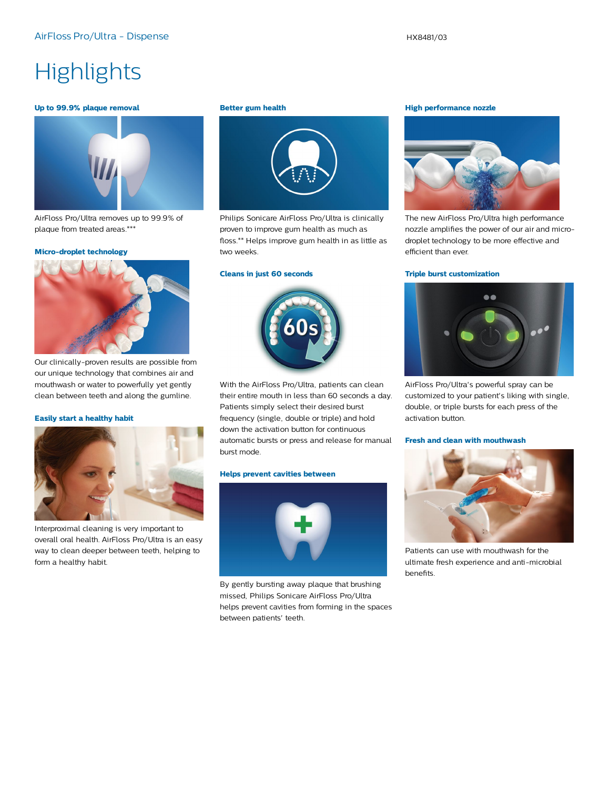## **Highlights**

#### **Up to 99.9% plaque removal**



AirFloss Pro/Ultra removes up to 99.9% of plaque from treated areas.\*\*\*

#### **Micro-droplet technology**



Our clinically-proven results are possible from our unique technology that combines air and mouthwash or water to powerfully yet gently clean between teeth and along the gumline.

#### **Easily start a healthy habit**



Interproximal cleaning is very important to overall oral health. AirFloss Pro/Ultra is an easy way to clean deeper between teeth, helping to form a healthy habit.

#### **Better gum health**



Philips Sonicare AirFloss Pro/Ultra is clinically proven to improve gum health as much as floss.\*\* Helps improve gum health in as little as two weeks.

#### **Cleans in just 60 seconds**



With the AirFloss Pro/Ultra, patients can clean their entire mouth in less than 60 seconds a day. Patients simply select their desired burst frequency (single, double or triple) and hold down the activation button for continuous automatic bursts or press and release for manual burst mode.

#### **Helps prevent cavities between**



By gently bursting away plaque that brushing missed, Philips Sonicare AirFloss Pro/Ultra helps prevent cavities from forming in the spaces between patients' teeth.

#### **High performance nozzle**



The new AirFloss Pro/Ultra high performance nozzle amplifies the power of our air and microdroplet technology to be more effective and efficient than ever.

#### **Triple burst customization**



AirFloss Pro/Ultra's powerful spray can be customized to your patient's liking with single, double, or triple bursts for each press of the activation button.

#### **Fresh and clean with mouthwash**



Patients can use with mouthwash for the ultimate fresh experience and anti-microbial benefits.